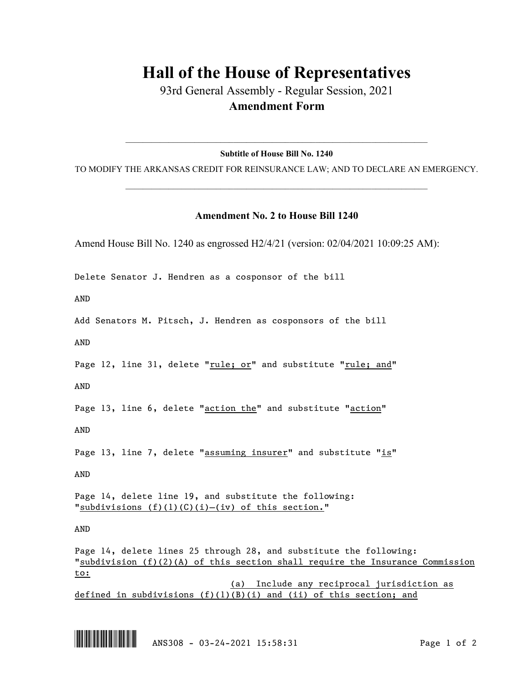## **Hall of the House of Representatives**

93rd General Assembly - Regular Session, 2021 **Amendment Form**

 $\_$  , and the set of the set of the set of the set of the set of the set of the set of the set of the set of the set of the set of the set of the set of the set of the set of the set of the set of the set of the set of th **Subtitle of House Bill No. 1240**

TO MODIFY THE ARKANSAS CREDIT FOR REINSURANCE LAW; AND TO DECLARE AN EMERGENCY.  $\_$  , and the set of the set of the set of the set of the set of the set of the set of the set of the set of the set of the set of the set of the set of the set of the set of the set of the set of the set of the set of th

## **Amendment No. 2 to House Bill 1240**

Amend House Bill No. 1240 as engrossed H2/4/21 (version: 02/04/2021 10:09:25 AM):

Delete Senator J. Hendren as a cosponsor of the bill

AND

Add Senators M. Pitsch, J. Hendren as cosponsors of the bill

AND

Page 12, line 31, delete "rule; or" and substitute "rule; and"

AND

Page 13, line 6, delete "action the" and substitute "action"

AND

Page 13, line 7, delete "assuming insurer" and substitute "is"

AND

Page 14, delete line 19, and substitute the following: "subdivisions (f)(1)(C)(i)-(iv) of this section."

AND

Page 14, delete lines 25 through 28, and substitute the following: "subdivision  $(f)(2)(A)$  of this section shall require the Insurance Commission to:

(a) Include any reciprocal jurisdiction as defined in subdivisions (f)(1)(B)(i) and (ii) of this section; and



\*.ANS308\* ANS308 - 03-24-2021 15:58:31 Page 1 of 2